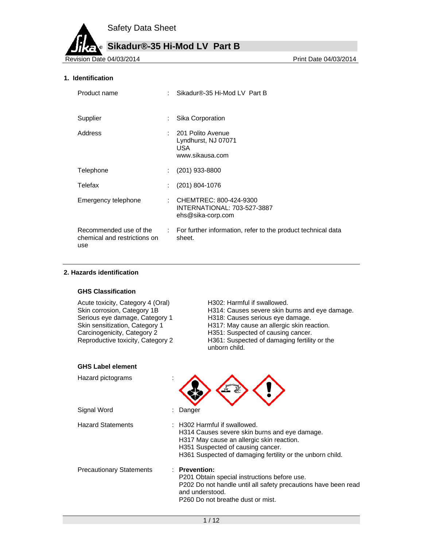**Sikadur®-35 Hi-Mod LV Part B** ®

Revision Date 04/03/2014

### **1. Identification**

| Product name                                                  |    | Sikadur®-35 Hi-Mod LV Part B                                                        |
|---------------------------------------------------------------|----|-------------------------------------------------------------------------------------|
| Supplier                                                      | t. | Sika Corporation                                                                    |
| Address                                                       |    | 201 Polito Avenue<br>Lyndhurst, NJ 07071<br>USA.<br>www.sikausa.com                 |
| Telephone                                                     |    | $(201)$ 933-8800                                                                    |
| Telefax                                                       |    | $(201)$ 804-1076                                                                    |
| Emergency telephone                                           |    | : CHEMTREC: 800-424-9300<br><b>INTERNATIONAL: 703-527-3887</b><br>ehs@sika-corp.com |
| Recommended use of the<br>chemical and restrictions on<br>use |    | : For further information, refer to the product technical data<br>sheet.            |

#### **2. Hazards identification**

### **GHS Classification**

| Acute toxicity, Category 4 (Oral)<br>Skin corrosion, Category 1B<br>Serious eye damage, Category 1<br>Skin sensitization, Category 1<br>Carcinogenicity, Category 2<br>Reproductive toxicity, Category 2 | H302: Harmful if swallowed.<br>H314: Causes severe skin burns and eye damage.<br>H318: Causes serious eye damage.<br>H317: May cause an allergic skin reaction.<br>H351: Suspected of causing cancer.<br>H361: Suspected of damaging fertility or the<br>unborn child. |
|----------------------------------------------------------------------------------------------------------------------------------------------------------------------------------------------------------|------------------------------------------------------------------------------------------------------------------------------------------------------------------------------------------------------------------------------------------------------------------------|
| <b>GHS Label element</b>                                                                                                                                                                                 |                                                                                                                                                                                                                                                                        |
| Hazard pictograms                                                                                                                                                                                        |                                                                                                                                                                                                                                                                        |
| Signal Word                                                                                                                                                                                              | Danger                                                                                                                                                                                                                                                                 |
| <b>Hazard Statements</b>                                                                                                                                                                                 | : H302 Harmful if swallowed.<br>H314 Causes severe skin burns and eye damage.<br>H317 May cause an allergic skin reaction.<br>H351 Suspected of causing cancer.<br>H361 Suspected of damaging fertility or the unborn child.                                           |
| <b>Precautionary Statements</b>                                                                                                                                                                          | $\therefore$ Prevention:<br>P201 Obtain special instructions before use.<br>P202 Do not handle until all safety precautions have been read<br>and understood.<br>P260 Do not breathe dust or mist.                                                                     |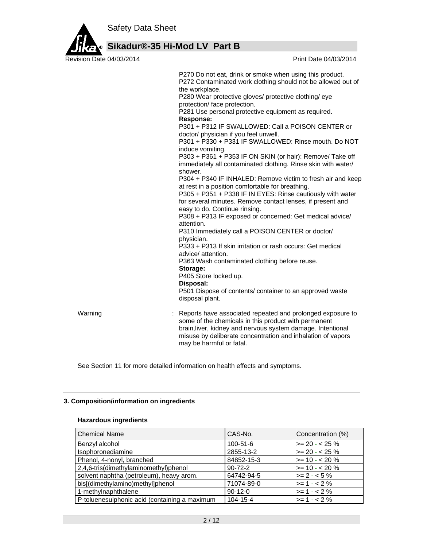

**Sikadur®-35 Hi-Mod LV Part B**

P270 Do not eat, drink or smoke when using this product. P272 Contaminated work clothing should not be allowed out of the workplace. P280 Wear protective gloves/ protective clothing/ eye protection/ face protection. P281 Use personal protective equipment as required. **Response:**  P301 + P312 IF SWALLOWED: Call a POISON CENTER or doctor/ physician if you feel unwell. P301 + P330 + P331 IF SWALLOWED: Rinse mouth. Do NOT induce vomiting. P303 + P361 + P353 IF ON SKIN (or hair): Remove/ Take off immediately all contaminated clothing. Rinse skin with water/ shower. P304 + P340 IF INHALED: Remove victim to fresh air and keep at rest in a position comfortable for breathing. P305 + P351 + P338 IF IN EYES: Rinse cautiously with water for several minutes. Remove contact lenses, if present and easy to do. Continue rinsing. P308 + P313 IF exposed or concerned: Get medical advice/ attention. P310 Immediately call a POISON CENTER or doctor/ physician. P333 + P313 If skin irritation or rash occurs: Get medical advice/ attention. P363 Wash contaminated clothing before reuse. **Storage:**  P405 Store locked up. **Disposal:**  P501 Dispose of contents/ container to an approved waste disposal plant. Warning **Example 20** Marning : Reports have associated repeated and prolonged exposure to some of the chemicals in this product with permanent brain,liver, kidney and nervous system damage. Intentional misuse by deliberate concentration and inhalation of vapors may be harmful or fatal.

See Section 11 for more detailed information on health effects and symptoms.

#### **3. Composition/information on ingredients**

#### **Hazardous ingredients**

| <b>Chemical Name</b>                          | CAS-No.       | Concentration (%) |
|-----------------------------------------------|---------------|-------------------|
| Benzyl alcohol                                | 100-51-6      | $>= 20 - 25 \%$   |
| Isophoronediamine                             | 2855-13-2     | $>= 20 - 25 \%$   |
| Phenol, 4-nonyl, branched                     | 84852-15-3    | $>= 10 - 20 \%$   |
| 2,4,6-tris(dimethylaminomethyl)phenol         | $90 - 72 - 2$ | $>= 10 - 20%$     |
| solvent naphtha (petroleum), heavy arom.      | 64742-94-5    | $>= 2 - 5\%$      |
| bis[(dimethylamino)methyl]phenol              | 71074-89-0    | $>= 1 - 2%$       |
| 1-methylnaphthalene                           | $90-12-0$     | $>= 1 - 2%$       |
| P-toluenesulphonic acid (containing a maximum | 104-15-4      | $>= 1 - 2%$       |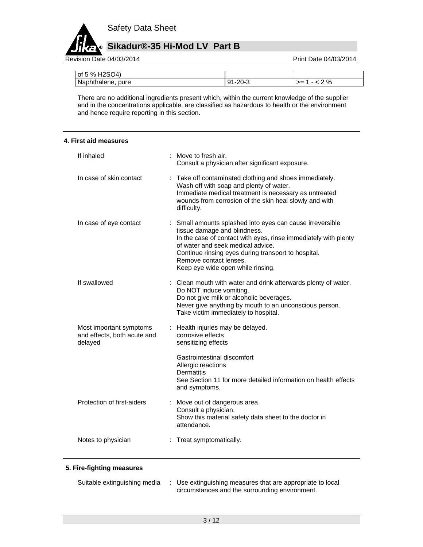

Revision Date 04/03/2014 **Revision Date 04/03/2014** 

| of 5 % H2SO4)     |               |                 |
|-------------------|---------------|-----------------|
| Naphthalene, pure | $91 - 20 - 3$ | $2\%$<br>$>= 1$ |

There are no additional ingredients present which, within the current knowledge of the supplier and in the concentrations applicable, are classified as hazardous to health or the environment and hence require reporting in this section.

#### **4. First aid measures**

| If inhaled                                                        | : Move to fresh air.<br>Consult a physician after significant exposure.                                                                                                                                                                                                                                                 |
|-------------------------------------------------------------------|-------------------------------------------------------------------------------------------------------------------------------------------------------------------------------------------------------------------------------------------------------------------------------------------------------------------------|
| In case of skin contact                                           | Take off contaminated clothing and shoes immediately.<br>Wash off with soap and plenty of water.<br>Immediate medical treatment is necessary as untreated<br>wounds from corrosion of the skin heal slowly and with<br>difficulty.                                                                                      |
| In case of eye contact                                            | : Small amounts splashed into eyes can cause irreversible<br>tissue damage and blindness.<br>In the case of contact with eyes, rinse immediately with plenty<br>of water and seek medical advice.<br>Continue rinsing eyes during transport to hospital.<br>Remove contact lenses.<br>Keep eye wide open while rinsing. |
| If swallowed                                                      | : Clean mouth with water and drink afterwards plenty of water.<br>Do NOT induce vomiting.<br>Do not give milk or alcoholic beverages.<br>Never give anything by mouth to an unconscious person.<br>Take victim immediately to hospital.                                                                                 |
| Most important symptoms<br>and effects, both acute and<br>delayed | : Health injuries may be delayed.<br>corrosive effects<br>sensitizing effects                                                                                                                                                                                                                                           |
|                                                                   | Gastrointestinal discomfort<br>Allergic reactions<br><b>Dermatitis</b><br>See Section 11 for more detailed information on health effects<br>and symptoms.                                                                                                                                                               |
| Protection of first-aiders                                        | : Move out of dangerous area.<br>Consult a physician.<br>Show this material safety data sheet to the doctor in<br>attendance.                                                                                                                                                                                           |
| Notes to physician                                                | : Treat symptomatically.                                                                                                                                                                                                                                                                                                |

## **5. Fire-fighting measures**

| Suitable extinguishing media | Use extinguishing measures that are appropriate to local |
|------------------------------|----------------------------------------------------------|
|                              | circumstances and the surrounding environment.           |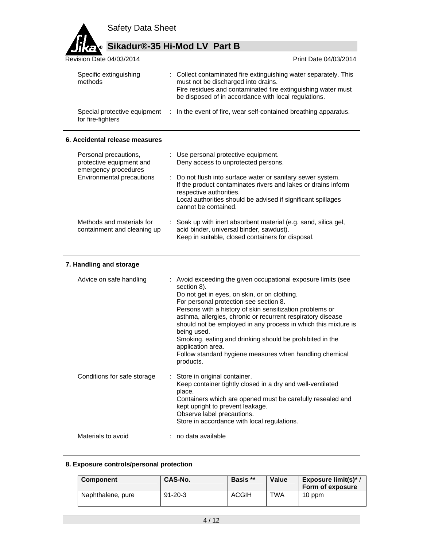

# **Sikadur®-35 Hi-Mod LV Part B**

| Revision Date 04/03/2014                          | Print Date 04/03/2014                                                                                                                                                                                                           |
|---------------------------------------------------|---------------------------------------------------------------------------------------------------------------------------------------------------------------------------------------------------------------------------------|
| Specific extinguishing<br>methods                 | : Collect contaminated fire extinguishing water separately. This<br>must not be discharged into drains.<br>Fire residues and contaminated fire extinguishing water must<br>be disposed of in accordance with local regulations. |
| Special protective equipment<br>for fire-fighters | : In the event of fire, wear self-contained breathing apparatus.                                                                                                                                                                |
|                                                   |                                                                                                                                                                                                                                 |

## **6. Accidental release measures**

| Personal precautions,<br>protective equipment and<br>emergency procedures | : Use personal protective equipment.<br>Deny access to unprotected persons.                                                                                                                                                                     |
|---------------------------------------------------------------------------|-------------------------------------------------------------------------------------------------------------------------------------------------------------------------------------------------------------------------------------------------|
| Environmental precautions                                                 | : Do not flush into surface water or sanitary sewer system.<br>If the product contaminates rivers and lakes or drains inform<br>respective authorities.<br>Local authorities should be advised if significant spillages<br>cannot be contained. |
| Methods and materials for<br>containment and cleaning up                  | : Soak up with inert absorbent material (e.g. sand, silica gel,<br>acid binder, universal binder, sawdust).<br>Keep in suitable, closed containers for disposal.                                                                                |

## **7. Handling and storage**

| Advice on safe handling     | : Avoid exceeding the given occupational exposure limits (see<br>section 8).<br>Do not get in eyes, on skin, or on clothing.<br>For personal protection see section 8.<br>Persons with a history of skin sensitization problems or<br>asthma, allergies, chronic or recurrent respiratory disease<br>should not be employed in any process in which this mixture is<br>being used.<br>Smoking, eating and drinking should be prohibited in the<br>application area.<br>Follow standard hygiene measures when handling chemical<br>products. |
|-----------------------------|---------------------------------------------------------------------------------------------------------------------------------------------------------------------------------------------------------------------------------------------------------------------------------------------------------------------------------------------------------------------------------------------------------------------------------------------------------------------------------------------------------------------------------------------|
| Conditions for safe storage | : Store in original container.<br>Keep container tightly closed in a dry and well-ventilated<br>place.<br>Containers which are opened must be carefully resealed and<br>kept upright to prevent leakage.<br>Observe label precautions.<br>Store in accordance with local regulations.                                                                                                                                                                                                                                                       |
| Materials to avoid          | $:$ no data available                                                                                                                                                                                                                                                                                                                                                                                                                                                                                                                       |

## **8. Exposure controls/personal protection**

| <b>Component</b>  | CAS-No.       | Basis **     | Value | Exposure limit(s) $*$<br>Form of exposure |
|-------------------|---------------|--------------|-------|-------------------------------------------|
| Naphthalene, pure | $91 - 20 - 3$ | <b>ACGIH</b> | TWA   | 10 ppm                                    |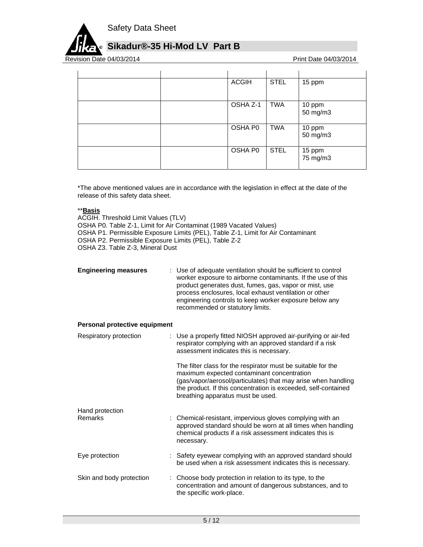

# **Sikadur®-35 Hi-Mod LV Part B**

Revision Date 04/03/2014 **Revision Date 04/03/2014** 

|  | <b>ACGIH</b> | <b>STEL</b> | 15 ppm             |
|--|--------------|-------------|--------------------|
|  | OSHA Z-1     | <b>TWA</b>  | 10 ppm<br>50 mg/m3 |
|  | OSHA P0      | TWA         | 10 ppm<br>50 mg/m3 |
|  | OSHA P0      | <b>STEL</b> | 15 ppm<br>75 mg/m3 |

\*The above mentioned values are in accordance with the legislation in effect at the date of the release of this safety data sheet.

#### \*\***Basis**

ACGIH. Threshold Limit Values (TLV) OSHA P0. Table Z-1, Limit for Air Contaminat (1989 Vacated Values) OSHA P1. Permissible Exposure Limits (PEL), Table Z-1, Limit for Air Contaminant OSHA P2. Permissible Exposure Limits (PEL), Table Z-2 OSHA Z3. Table Z-3, Mineral Dust

| <b>Engineering measures</b> | : Use of adequate ventilation should be sufficient to control<br>worker exposure to airborne contaminants. If the use of this<br>product generates dust, fumes, gas, vapor or mist, use<br>process enclosures, local exhaust ventilation or other<br>engineering controls to keep worker exposure below any<br>recommended or statutory limits. |
|-----------------------------|-------------------------------------------------------------------------------------------------------------------------------------------------------------------------------------------------------------------------------------------------------------------------------------------------------------------------------------------------|
|-----------------------------|-------------------------------------------------------------------------------------------------------------------------------------------------------------------------------------------------------------------------------------------------------------------------------------------------------------------------------------------------|

#### **Personal protective equipment**

| Respiratory protection   | : Use a properly fitted NIOSH approved air-purifying or air-fed<br>respirator complying with an approved standard if a risk<br>assessment indicates this is necessary.                                                                                                             |  |
|--------------------------|------------------------------------------------------------------------------------------------------------------------------------------------------------------------------------------------------------------------------------------------------------------------------------|--|
|                          | The filter class for the respirator must be suitable for the<br>maximum expected contaminant concentration<br>(gas/vapor/aerosol/particulates) that may arise when handling<br>the product. If this concentration is exceeded, self-contained<br>breathing apparatus must be used. |  |
| Hand protection          |                                                                                                                                                                                                                                                                                    |  |
| <b>Remarks</b>           | : Chemical-resistant, impervious gloves complying with an<br>approved standard should be worn at all times when handling<br>chemical products if a risk assessment indicates this is<br>necessary.                                                                                 |  |
| Eye protection           | : Safety eyewear complying with an approved standard should<br>be used when a risk assessment indicates this is necessary.                                                                                                                                                         |  |
| Skin and body protection | : Choose body protection in relation to its type, to the<br>concentration and amount of dangerous substances, and to<br>the specific work-place.                                                                                                                                   |  |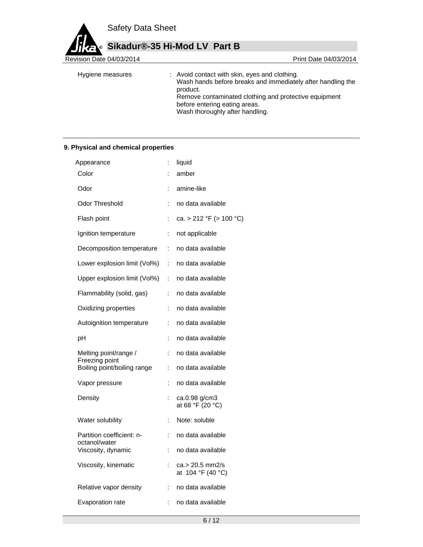**Sikadur®-35 Hi-Mod LV Part B** ø

Revision Date 04/03/2014

| Hygiene measures | : Avoid contact with skin, eyes and clothing.<br>Wash hands before breaks and immediately after handling the<br>product.<br>Remove contaminated clothing and protective equipment<br>before entering eating areas.<br>Wash thoroughly after handling. |  |
|------------------|-------------------------------------------------------------------------------------------------------------------------------------------------------------------------------------------------------------------------------------------------------|--|
|                  |                                                                                                                                                                                                                                                       |  |

## **9. Physical and chemical properties**

| Appearance                                 | $\ddot{\phantom{a}}$ | liquid                               |
|--------------------------------------------|----------------------|--------------------------------------|
| Color                                      |                      | amber                                |
| Odor                                       |                      | amine-like                           |
| Odor Threshold                             | t                    | no data available                    |
| Flash point                                |                      | ca. > 212 °F (> 100 °C)              |
| Ignition temperature                       | ÷                    | not applicable                       |
| Decomposition temperature                  | ÷.                   | no data available                    |
| Lower explosion limit (Vol%)               | ÷.                   | no data available                    |
| Upper explosion limit (Vol%)               | ÷.                   | no data available                    |
| Flammability (solid, gas)                  | ÷.                   | no data available                    |
| Oxidizing properties                       | ÷                    | no data available                    |
| Autoignition temperature                   | ÷                    | no data available                    |
| pH                                         | ÷                    | no data available                    |
| Melting point/range /<br>Freezing point    | $\ddot{\phantom{a}}$ | no data available                    |
| Boiling point/boiling range                | t.                   | no data available                    |
| Vapor pressure                             | ÷                    | no data available                    |
| Density                                    | ÷                    | ca.0.98 g/cm3<br>at 68 °F (20 °C)    |
| Water solubility                           | İ.                   | Note: soluble                        |
| Partition coefficient: n-<br>octanol/water | ÷                    | no data available                    |
| Viscosity, dynamic                         | İ.                   | no data available                    |
| Viscosity, kinematic                       | ÷                    | ca.> 20.5 mm2/s<br>at 104 °F (40 °C) |
| Relative vapor density                     | İ.                   | no data available                    |
| Evaporation rate                           | ÷                    | no data available                    |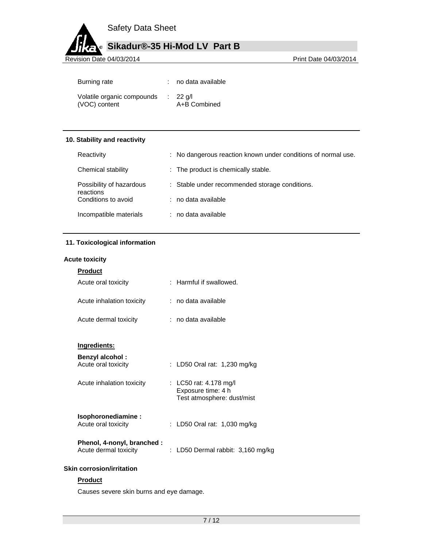# **Sikadur®-35 Hi-Mod LV Part B**

Revision Date 04/03/2014 **Revision Date 04/03/2014** 

| Burning rate                                | no data available                   |
|---------------------------------------------|-------------------------------------|
| Volatile organic compounds<br>(VOC) content | $\therefore$ 22 g/l<br>A+B Combined |

### **10. Stability and reactivity**

| Reactivity                            | : No dangerous reaction known under conditions of normal use. |
|---------------------------------------|---------------------------------------------------------------|
| Chemical stability                    | : The product is chemically stable.                           |
| Possibility of hazardous<br>reactions | : Stable under recommended storage conditions.                |
| Conditions to avoid                   | : no data available                                           |
| Incompatible materials                | : no data available                                           |

## **11. Toxicological information**

#### **Acute toxicity**

| <u>Product</u>            |                         |
|---------------------------|-------------------------|
| Acute oral toxicity       | : Harmful if swallowed. |
| Acute inhalation toxicity | : no data available     |
| Acute dermal toxicity     | : no data available     |
|                           |                         |

## **Ingredients:**

| <b>Benzyl alcohol:</b><br>Acute oral toxicity | : LD50 Oral rat: 1,230 mg/kg             |
|-----------------------------------------------|------------------------------------------|
| $\Lambda$ outo inholotion tovioitu            | $. 1050 \, \text{m}$ $. 110 \, \text{m}$ |

| Acute inhalation toxicity | : LC50 rat: 4.178 mg/l<br>Exposure time: 4 h<br>Test atmosphere: dust/mist |
|---------------------------|----------------------------------------------------------------------------|
|                           |                                                                            |

| Isophoronediamine:<br>Acute oral toxicity | : LD50 Oral rat: $1,030$ mg/kg |  |
|-------------------------------------------|--------------------------------|--|
| Phenol, 4-nonyl, branched :               |                                |  |

## Acute dermal toxicity : LD50 Dermal rabbit: 3,160 mg/kg

#### **Skin corrosion/irritation**

## **Product**

Causes severe skin burns and eye damage.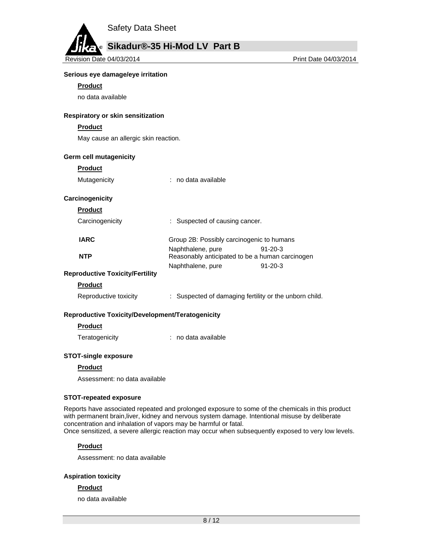

Revision Date 04/03/2014 **Print Date 04/03/2014** Print Date 04/03/2014

#### **Serious eye damage/eye irritation**

#### **Product**

no data available

#### **Respiratory or skin sensitization**

#### **Product**

May cause an allergic skin reaction.

#### **Germ cell mutagenicity**

#### **Product**

| Mutagenicity |  | no data available |
|--------------|--|-------------------|
|--------------|--|-------------------|

#### **Carcinogenicity**

**Product** 

| Carcinogenicity | : Suspected of causing cancer. |
|-----------------|--------------------------------|
|-----------------|--------------------------------|

| <b>IARC</b> | Group 2B: Possibly carcinogenic to humans       |               |
|-------------|-------------------------------------------------|---------------|
|             | Naphthalene, pure                               | $91-20-3$     |
| <b>NTP</b>  | Reasonably anticipated to be a human carcinogen |               |
|             | Naphthalene, pure                               | $91 - 20 - 3$ |

## **Reproductive Toxicity/Fertility**

## **Product**

#### **Reproductive Toxicity/Development/Teratogenicity**

#### **Product**

Teratogenicity : no data available

#### **STOT-single exposure**

#### **Product**

Assessment: no data available

#### **STOT-repeated exposure**

Reports have associated repeated and prolonged exposure to some of the chemicals in this product with permanent brain,liver, kidney and nervous system damage. Intentional misuse by deliberate concentration and inhalation of vapors may be harmful or fatal. Once sensitized, a severe allergic reaction may occur when subsequently exposed to very low levels.

#### **Product**

Assessment: no data available

#### **Aspiration toxicity**

#### **Product**

no data available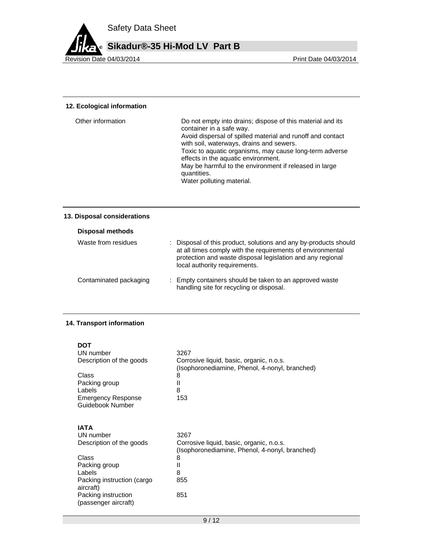

#### **12. Ecological information**

| Water polluting material. | Other information | Do not empty into drains; dispose of this material and its<br>container in a safe way.<br>Avoid dispersal of spilled material and runoff and contact<br>with soil, waterways, drains and sewers.<br>Toxic to aquatic organisms, may cause long-term adverse<br>effects in the aquatic environment.<br>May be harmful to the environment if released in large<br>quantities. |
|---------------------------|-------------------|-----------------------------------------------------------------------------------------------------------------------------------------------------------------------------------------------------------------------------------------------------------------------------------------------------------------------------------------------------------------------------|
|---------------------------|-------------------|-----------------------------------------------------------------------------------------------------------------------------------------------------------------------------------------------------------------------------------------------------------------------------------------------------------------------------------------------------------------------------|

## **13. Disposal considerations**

| Disposal methods       |                                                                                                                                                                                                                               |  |
|------------------------|-------------------------------------------------------------------------------------------------------------------------------------------------------------------------------------------------------------------------------|--|
| Waste from residues    | : Disposal of this product, solutions and any by-products should<br>at all times comply with the requirements of environmental<br>protection and waste disposal legislation and any regional<br>local authority requirements. |  |
| Contaminated packaging | : Empty containers should be taken to an approved waste<br>handling site for recycling or disposal.                                                                                                                           |  |

## **14. Transport information**

| DOT                                           |                                                                                                    |
|-----------------------------------------------|----------------------------------------------------------------------------------------------------|
| UN number                                     | 3267                                                                                               |
| Description of the goods                      | Corrosive liquid, basic, organic, n.o.s.<br>(Isophoronediamine, Phenol, 4-nonyl, branched)         |
| Class                                         | 8                                                                                                  |
| Packing group                                 | Ш                                                                                                  |
| Labels                                        | 8                                                                                                  |
| <b>Emergency Response</b>                     | 153                                                                                                |
| Guidebook Number                              |                                                                                                    |
| IATA<br>UN number<br>Description of the goods | 3267<br>Corrosive liquid, basic, organic, n.o.s.<br>(Isophoronediamine, Phenol, 4-nonyl, branched) |
| Class                                         | 8                                                                                                  |
| Packing group                                 | Ш                                                                                                  |
| Labels                                        | 8                                                                                                  |
| Packing instruction (cargo<br>aircraft)       | 855                                                                                                |
| Packing instruction<br>(passenger aircraft)   | 851                                                                                                |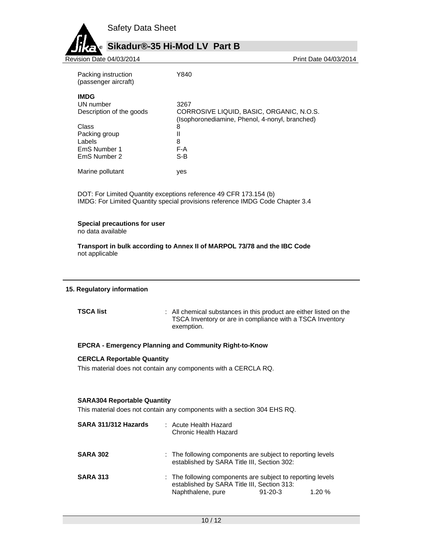

# **Sikadur®-35 Hi-Mod LV Part B**

Revision Date 04/03/2014 **Print Date 04/03/2014** Print Date 04/03/2014

| Packing instruction<br>(passenger aircraft) | Y840                                                                                       |
|---------------------------------------------|--------------------------------------------------------------------------------------------|
| <b>IMDG</b>                                 |                                                                                            |
| UN number                                   | 3267                                                                                       |
| Description of the goods                    | CORROSIVE LIQUID, BASIC, ORGANIC, N.O.S.<br>(Isophoronediamine, Phenol, 4-nonyl, branched) |
| Class                                       | 8                                                                                          |
| Packing group                               | Ш                                                                                          |
| Labels                                      | 8                                                                                          |
| EmS Number 1                                | F-A                                                                                        |
| EmS Number 2                                | S-B                                                                                        |
| Marine pollutant                            | ves                                                                                        |

DOT: For Limited Quantity exceptions reference 49 CFR 173.154 (b) IMDG: For Limited Quantity special provisions reference IMDG Code Chapter 3.4

#### **Special precautions for user**

no data available

**Transport in bulk according to Annex II of MARPOL 73/78 and the IBC Code**  not applicable

#### **15. Regulatory information**

**TSCA list** : All chemical substances in this product are either listed on the TSCA Inventory or are in compliance with a TSCA Inventory exemption.

## **EPCRA - Emergency Planning and Community Right-to-Know**

#### **CERCLA Reportable Quantity**

This material does not contain any components with a CERCLA RQ.

#### **SARA304 Reportable Quantity**

This material does not contain any components with a section 304 EHS RQ.

| SARA 311/312 Hazards | : Acute Health Hazard<br>Chronic Health Hazard                                                                                                  |       |
|----------------------|-------------------------------------------------------------------------------------------------------------------------------------------------|-------|
| <b>SARA 302</b>      | : The following components are subject to reporting levels<br>established by SARA Title III, Section 302:                                       |       |
| <b>SARA 313</b>      | : The following components are subject to reporting levels<br>established by SARA Title III, Section 313:<br>Naphthalene, pure<br>$91 - 20 - 3$ | 1.20% |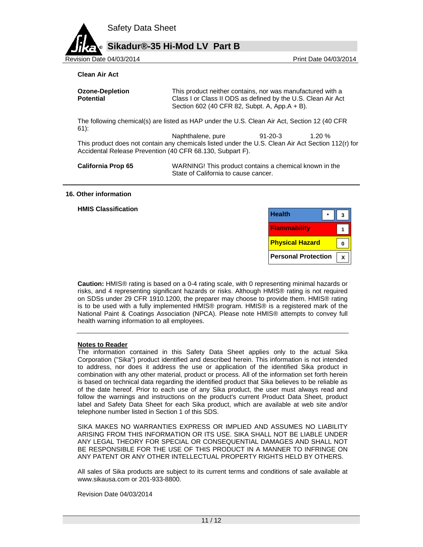# **Sikadur®-35 Hi-Mod LV Part B**

Revision Date 04/03/2014 **Print Date 04/03/2014** Print Date 04/03/2014

#### **Clean Air Act**

| <b>Ozone-Depletion</b> | This product neither contains, nor was manufactured with a                                                    |
|------------------------|---------------------------------------------------------------------------------------------------------------|
| <b>Potential</b>       | Class I or Class II ODS as defined by the U.S. Clean Air Act<br>Section 602 (40 CFR 82, Subpt. A, App.A + B). |

The following chemical(s) are listed as HAP under the U.S. Clean Air Act, Section 12 (40 CFR 61):

Naphthalene, pure 91-20-3 1.20 % This product does not contain any chemicals listed under the U.S. Clean Air Act Section 112(r) for Accidental Release Prevention (40 CFR 68.130, Subpart F).

**California Prop 65** WARNING! This product contains a chemical known in the State of California to cause cancer.

#### **16. Other information**

**HMIS Classification** 

| <b>Health</b>              |  |
|----------------------------|--|
| <b>Flammability</b>        |  |
| <b>Physical Hazard</b>     |  |
| <b>Personal Protection</b> |  |

**Caution:** HMIS® rating is based on a 0-4 rating scale, with 0 representing minimal hazards or risks, and 4 representing significant hazards or risks. Although HMIS® rating is not required on SDSs under 29 CFR 1910.1200, the preparer may choose to provide them. HMIS® rating is to be used with a fully implemented HMIS® program. HMIS® is a registered mark of the National Paint & Coatings Association (NPCA). Please note HMIS® attempts to convey full health warning information to all employees.

#### **Notes to Reader**

The information contained in this Safety Data Sheet applies only to the actual Sika Corporation ("Sika") product identified and described herein. This information is not intended to address, nor does it address the use or application of the identified Sika product in combination with any other material, product or process. All of the information set forth herein is based on technical data regarding the identified product that Sika believes to be reliable as of the date hereof. Prior to each use of any Sika product, the user must always read and follow the warnings and instructions on the product's current Product Data Sheet, product label and Safety Data Sheet for each Sika product, which are available at web site and/or telephone number listed in Section 1 of this SDS.

SIKA MAKES NO WARRANTIES EXPRESS OR IMPLIED AND ASSUMES NO LIABILITY ARISING FROM THIS INFORMATION OR ITS USE. SIKA SHALL NOT BE LIABLE UNDER ANY LEGAL THEORY FOR SPECIAL OR CONSEQUENTIAL DAMAGES AND SHALL NOT BE RESPONSIBLE FOR THE USE OF THIS PRODUCT IN A MANNER TO INFRINGE ON ANY PATENT OR ANY OTHER INTELLECTUAL PROPERTY RIGHTS HELD BY OTHERS.

All sales of Sika products are subject to its current terms and conditions of sale available at www.sikausa.com or 201-933-8800.

Revision Date 04/03/2014